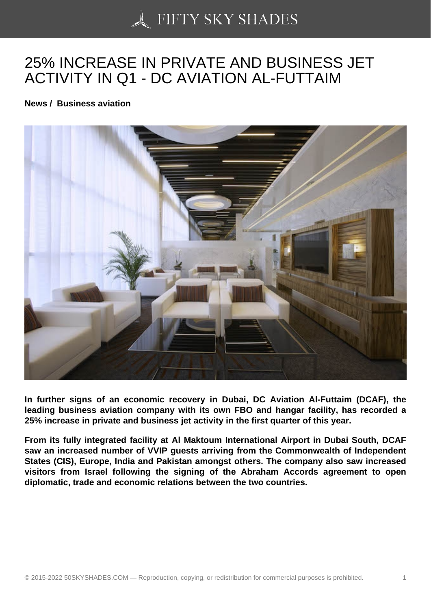## [25% INCREASE IN PR](https://50skyshades.com)IVATE AND BUSINESS JET ACTIVITY IN Q1 - DC AVIATION AL-FUTTAIM

News / Business aviation

In further signs of an economic recovery in Dubai, DC Aviation Al-Futtaim (DCAF), the leading business aviation company with its own FBO and hangar facility, has recorded a 25% increase in private and business jet activity in the first quarter of this year.

From its fully integrated facility at Al Maktoum International Airport in Dubai South, DCAF saw an increased number of VVIP guests arriving from the Commonwealth of Independent States (CIS), Europe, India and Pakistan amongst others. The company also saw increased visitors from Israel following the signing of the Abraham Accords agreement to open diplomatic, trade and economic relations between the two countries.